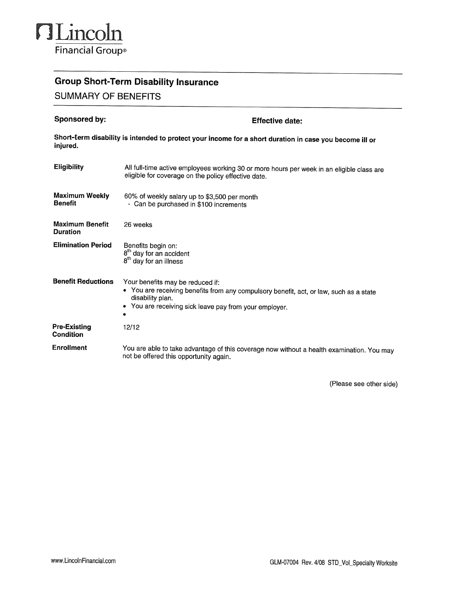

## **Group Short-Term Disability Insurance**

**SUMMARY OF BENEFITS** 

| Sponsored by:                             | <b>Effective date:</b>                                                                                                                                                                                   |  |  |  |  |  |
|-------------------------------------------|----------------------------------------------------------------------------------------------------------------------------------------------------------------------------------------------------------|--|--|--|--|--|
| injured.                                  | Short-term disability is intended to protect your income for a short duration in case you become ill or                                                                                                  |  |  |  |  |  |
| <b>Eligibility</b>                        | All full-time active employees working 30 or more hours per week in an eligible class are<br>eligible for coverage on the policy effective date.                                                         |  |  |  |  |  |
| <b>Maximum Weekly</b><br><b>Benefit</b>   | 60% of weekly salary up to \$3,500 per month<br>- Can be purchased in \$100 increments                                                                                                                   |  |  |  |  |  |
| <b>Maximum Benefit</b><br><b>Duration</b> | 26 weeks                                                                                                                                                                                                 |  |  |  |  |  |
| <b>Elimination Period</b>                 | Benefits begin on:<br>8 <sup>th</sup> day for an accident<br>8 <sup>th</sup> day for an illness                                                                                                          |  |  |  |  |  |
| <b>Benefit Reductions</b>                 | Your benefits may be reduced if:<br>• You are receiving benefits from any compulsory benefit, act, or law, such as a state<br>disability plan.<br>• You are receiving sick leave pay from your employer. |  |  |  |  |  |
| Pre-Existing<br>Condition                 | 12/12                                                                                                                                                                                                    |  |  |  |  |  |
| <b>Enrollment</b>                         | You are able to take advantage of this coverage now without a health examination. You may<br>not be offered this opportunity again.                                                                      |  |  |  |  |  |

(Please see other side)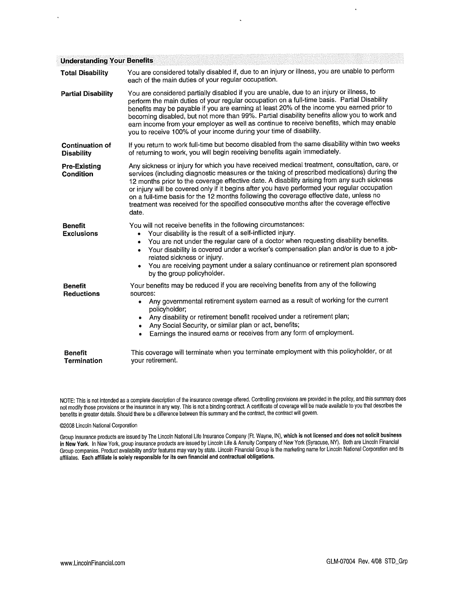| <b>Understanding Your Benefits</b>          |                                                                                                                                                                                                                                                                                                                                                                                                                                                                                                                                                                                            |  |  |  |  |  |
|---------------------------------------------|--------------------------------------------------------------------------------------------------------------------------------------------------------------------------------------------------------------------------------------------------------------------------------------------------------------------------------------------------------------------------------------------------------------------------------------------------------------------------------------------------------------------------------------------------------------------------------------------|--|--|--|--|--|
| <b>Total Disability</b>                     | You are considered totally disabled if, due to an injury or illness, you are unable to perform<br>each of the main duties of your regular occupation.                                                                                                                                                                                                                                                                                                                                                                                                                                      |  |  |  |  |  |
| <b>Partial Disability</b>                   | You are considered partially disabled if you are unable, due to an injury or illness, to<br>perform the main duties of your regular occupation on a full-time basis. Partial Disability<br>benefits may be payable if you are earning at least 20% of the income you earned prior to<br>becoming disabled, but not more than 99%. Partial disability benefits allow you to work and<br>earn income from your employer as well as continue to receive benefits, which may enable<br>you to receive 100% of your income during your time of disability.                                      |  |  |  |  |  |
| <b>Continuation of</b><br><b>Disability</b> | If you return to work full-time but become disabled from the same disability within two weeks<br>of returning to work, you will begin receiving benefits again immediately.                                                                                                                                                                                                                                                                                                                                                                                                                |  |  |  |  |  |
| <b>Pre-Existing</b><br><b>Condition</b>     | Any sickness or injury for which you have received medical treatment, consultation, care, or<br>services (including diagnostic measures or the taking of prescribed medications) during the<br>12 months prior to the coverage effective date. A disability arising from any such sickness<br>or injury will be covered only if it begins after you have performed your regular occupation<br>on a full-time basis for the 12 months following the coverage effective date, unless no<br>treatment was received for the specified consecutive months after the coverage effective<br>date. |  |  |  |  |  |
| <b>Benefit</b><br><b>Exclusions</b>         | You will not receive benefits in the following circumstances:<br>Your disability is the result of a self-inflicted injury.<br>You are not under the regular care of a doctor when requesting disability benefits.<br>Your disability is covered under a worker's compensation plan and/or is due to a job-<br>related sickness or injury.<br>You are receiving payment under a salary continuance or retirement plan sponsored<br>$\bullet$<br>by the group policyholder.                                                                                                                  |  |  |  |  |  |
| <b>Benefit</b><br><b>Reductions</b>         | Your benefits may be reduced if you are receiving benefits from any of the following<br>sources:<br>Any governmental retirement system earned as a result of working for the current<br>$\bullet$<br>policyholder;<br>Any disability or retirement benefit received under a retirement plan;<br>$\bullet$<br>Any Social Security, or similar plan or act, benefits;<br>$\bullet$<br>Earnings the insured earns or receives from any form of employment.<br>$\bullet$                                                                                                                       |  |  |  |  |  |
| <b>Benefit</b><br><b>Termination</b>        | This coverage will terminate when you terminate employment with this policyholder, or at<br>your retirement.                                                                                                                                                                                                                                                                                                                                                                                                                                                                               |  |  |  |  |  |

NOTE: This is not intended as a complete description of the insurance coverage offered. Controlling provisions are provided in the policy, and this summary does not modify those provisions or the insurance in any way. This benefits in greater details. Should there be a difference between this summary and the contract, the contract will govern.

## @2008 Lincoln National Corporation

Group Insurance products are issued by The Lincoln National Life Insurance Company (Ft. Wayne, IN), which is not licensed and does not solicit business<br>in New York. In New York, group insurance products are issued by Linco Group companies. Product availability and/or features may vary by state. Lincoln Financial Group is the marketing name for Lincoln National Corporation and its<br>affiliates. Each affiliate is solely responsible for its own f

 $\ddot{\phantom{a}}$